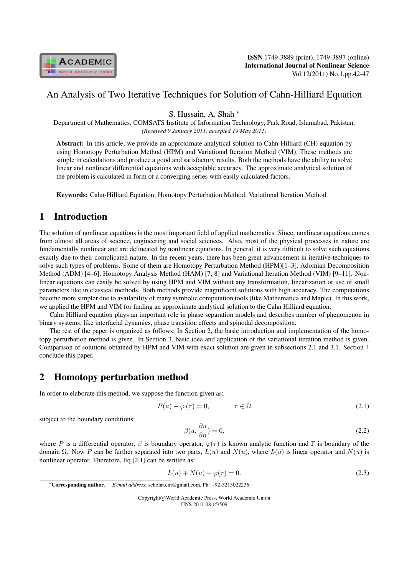

## An Analysis of Two Iterative Techniques for Solution of Cahn-Hilliard Equation

S. Hussain, A. Shah *<sup>∗</sup>*

Department of Mathematics, COMSATS Institute of Information Technology, Park Road, Islamabad, Pakistan. *(Received 9 January 2011, accepted 19 May 2011)*

Abstract: In this article, we provide an approximate analytical solution to Cahn-Hilliard (CH) equation by using Homotopy Perturbation Method (HPM) and Variational Iteration Method (VIM). These methods are simple in calculations and produce a good and satisfactory results. Both the methods have the ability to solve linear and nonlinear differential equations with acceptable accuracy. The approximate analytical solution of the problem is calculated in form of a converging series with easily calculated factors.

Keywords: Cahn-Hilliard Equation; Homotopy Perturbation Method; Variational Iteration Method

# 1 Introduction

The solution of nonlinear equations is the most important field of applied mathematics. Since, nonlinear equations comes from almost all areas of science, engineering and social sciences. Also, most of the physical processes in nature are fundamentally nonlinear and are delineated by nonlinear equations. In general, it is very difficult to solve such equations exactly due to their complicated nature. In the recent years, there has been great advancement in iterative techniques to solve such types of problems. Some of them are Homotopy Perturbation Method (HPM)[1–3], Adomian Decomposition Method (ADM) [4–6], Homotopy Analysis Method (HAM) [7, 8] and Variational Iteration Method (VIM) [9–11]. Nonlinear equations can easily be solved by using HPM and VIM without any transformation, linearization or use of small parameters like in classical methods. Both methods provide magnificent solutions with high accuracy. The computations become more simpler due to availability of many symbolic computation tools (like Mathematica and Maple). In this work, we applied the HPM and VIM for finding an approximate analytical solution to the Cahn Hilliard equation.

Cahn Hilliard equation plays an important role in phase separation models and describes number of phenomenon in binary systems, like interfacial dynamics, phase transition effects and spinodal decomposition.

The rest of the paper is organized as follows; In Section 2, the basic introduction and implementation of the homotopy perturbation method is given. In Section 3, basic idea and application of the variational iteration method is given. Comparison of solutions obtained by HPM and VIM with exact solution are given in subsections 2.1 and 3.1. Section 4 conclude this paper.

# 2 Homotopy perturbation method

In order to elaborate this method, we suppose the function given as;

$$
P(u) - \varphi(\tau) = 0, \qquad \tau \in \Omega \tag{2.1}
$$

subject to the boundary conditions:

$$
\beta(u, \frac{\partial u}{\partial n}) = 0. \tag{2.2}
$$

where P is a differential operator,  $\beta$  is boundary operator,  $\varphi(\tau)$  is known analytic function and Γ is boundary of the domain Ω. Now P can be further separated into two parts,  $L(u)$  and  $N(u)$ , where  $L(u)$  is linear operator and  $N(u)$  is nonlinear operator. Therefore, Eq.(2.1) can be written as:

$$
L(u) + N(u) - \varphi(\tau) = 0.
$$
 (2.3)

Copyright*⃝*c World Academic Press, World Academic Union IJNS.2011.08.15/509

*<sup>∗</sup>*Corresponding author. *E-mail address*: scholar.cm@gmail.com, Ph: +92-3215022236.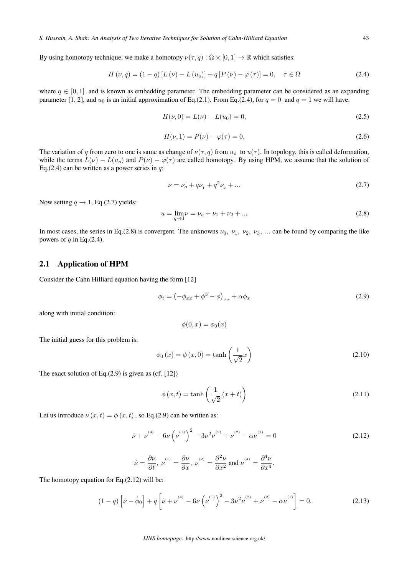By using homotopy technique, we make a homotopy  $\nu(\tau, q) : \Omega \times [0, 1] \to \mathbb{R}$  which satisfies:

$$
H(\nu, q) = (1 - q) [L(\nu) - L(u_o)] + q [P(\nu) - \varphi(\tau)] = 0, \quad \tau \in \Omega
$$
\n(2.4)

where  $q \in [0, 1]$  and is known as embedding parameter. The embedding parameter can be considered as an expanding parameter [1, 2], and  $u_0$  is an initial approximation of Eq.(2.1). From Eq.(2.4), for  $q = 0$  and  $q = 1$  we will have:

$$
H(\nu,0) = L(\nu) - L(u_0) = 0,
$$
\n(2.5)

$$
H(\nu, 1) = P(\nu) - \varphi(\tau) = 0,
$$
\n(2.6)

The variation of q from zero to one is same as change of  $\nu(\tau, q)$  from  $u_0$  to  $u(\tau)$ . In topology, this is called deformation, while the terms  $L(\nu) - L(u_0)$  and  $P(\nu) - \varphi(\tau)$  are called homotopy. By using HPM, we assume that the solution of Eq.(2.4) can be written as a power series in  $q$ :

$$
\nu = \nu_o + q\nu_1 + q^2\nu_2 + \dots \tag{2.7}
$$

Now setting  $q \rightarrow 1$ , Eq.(2.7) yields:

$$
u = \lim_{q \to 1} \nu = \nu_o + \nu_1 + \nu_2 + \dots \tag{2.8}
$$

In most cases, the series in Eq.(2.8) is convergent. The unknowns  $\nu_0$ ,  $\nu_1$ ,  $\nu_2$ ,  $\nu_3$ , ... can be found by comparing the like powers of  $q$  in Eq.(2.4).

### 2.1 Application of HPM

Consider the Cahn Hilliard equation having the form [12]

$$
\phi_t = \left(-\phi_{xx} + \phi^3 - \phi\right)_{xx} + \alpha\phi_x\tag{2.9}
$$

along with initial condition:

$$
\phi(0,x) = \phi_0(x)
$$

The initial guess for this problem is:

$$
\phi_0(x) = \phi(x, 0) = \tanh\left(\frac{1}{\sqrt{2}}x\right)
$$
\n(2.10)

The exact solution of Eq.(2.9) is given as (cf. [12])

$$
\phi(x,t) = \tanh\left(\frac{1}{\sqrt{2}}(x+t)\right)
$$
\n(2.11)

Let us introduce  $\nu(x, t) = \phi(x, t)$ , so Eq.(2.9) can be written as:

$$
\dot{\nu} + \nu^{(4)} - 6\nu \left(\nu^{(1)}\right)^2 - 3\nu^2 \nu^{(2)} + \nu^{(2)} - \alpha \nu^{(1)} = 0 \tag{2.12}
$$

$$
\dot{\nu} = \frac{\partial \nu}{\partial t}, \ \nu^{^{(1)}} = \frac{\partial \nu}{\partial x}, \ \nu^{^{(2)}} = \frac{\partial^2 \nu}{\partial x^2}
$$
 and  $\nu^{^{(4)}} = \frac{\partial^4 \nu}{\partial x^4}.$ 

The homotopy equation for Eq.(2.12) will be:

$$
(1-q)\left[\dot{\nu}-\dot{\phi}_0\right]+q\left[\dot{\nu}+\nu^{^{(4)}}-6\nu\left(\nu^{^{(1)}}\right)^2-3\nu^2\nu^{^{(2)}}+\nu^{^{(2)}}-\alpha\nu^{^{(1)}}\right]=0.\tag{2.13}
$$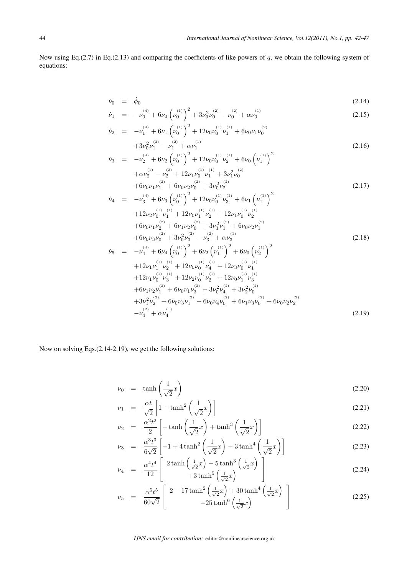Now using Eq.(2.7) in Eq.(2.13) and comparing the coefficients of like powers of  $q$ , we obtain the following system of equations:

$$
\dot{\nu}_0 = \dot{\phi}_0 \tag{2.14}
$$

$$
\dot{\nu}_1 = -\nu_0^{(4)} + 6\nu_0 \left(\nu_0^{(1)}\right)^2 + 3\nu_0^2 \nu_0^{(2)} - \nu_0^{(2)} + \alpha \nu_0^{(1)} \tag{2.15}
$$

$$
\dot{\nu}_2 = -\nu_1^{(4)} + 6\nu_1 \left(\nu_0^{(1)}\right)^2 + 12\nu_0 \nu_0^{(1)} \nu_1^{(1)} + 6\nu_0 \nu_1 \nu_0^{(2)} \n+3\nu_0^2 \nu_1^{(2)} - \nu_1^{(2)} + \alpha \nu_1^{(1)}
$$
\n(2.16)

$$
\dot{\nu}_{3} = -\nu_{2}^{(4)} + 6\nu_{2} \left(\nu_{0}^{(1)}\right)^{2} + 12\nu_{0}\nu_{0}^{(1)}\nu_{2}^{(1)} + 6\nu_{0} \left(\nu_{1}^{(1)}\right)^{2} + \alpha\nu_{2}^{(1)} - \nu_{2}^{(2)} + 12\nu_{1}\nu_{0}^{(1)}\nu_{1}^{(1)} + 3\nu_{1}^{2}\nu_{0}^{(2)} + 6\nu_{0}\nu_{1}\nu_{1}^{(2)} + 6\nu_{0}\nu_{2}\nu_{0}^{(2)} + 3\nu_{0}^{2}\nu_{2}^{(2)} \tag{2.17}
$$

$$
\dot{\nu}_{4} = -\nu_{3}^{(4)} + 6\nu_{3} \left(\nu_{0}^{(1)}\right)^{2} + 12\nu_{0}\nu_{0}^{(1)}\nu_{3}^{(1)} + 6\nu_{1} \left(\nu_{1}^{(1)}\right)^{2} \n+ 12\nu_{2}\nu_{0}^{(1)}\nu_{1}^{(1)} + 12\nu_{0}\nu_{1}^{(1)}\nu_{2}^{(1)} + 12\nu_{1}\nu_{0}^{(1)}\nu_{2}^{(1)} \n+ 6\nu_{0}\nu_{1}\nu_{2}^{(2)} + 6\nu_{1}\nu_{2}\nu_{0}^{(2)} + 3\nu_{1}^{2}\nu_{1}^{(2)} + 6\nu_{0}\nu_{2}\nu_{1}^{(2)} \n+ 6\nu_{0}\nu_{3}\nu_{0}^{(2)} + 3\nu_{0}^{2}\nu_{3}^{(2)} - \nu_{3}^{(2)} + \alpha\nu_{3}^{(1)} \n\dot{\nu}_{5} = -\nu_{4}^{(4)} + 6\nu_{4} \left(\nu_{0}^{(1)}\right)^{2} + 6\nu_{2} \left(\nu_{1}^{(1)}\right)^{2} + 6\nu_{0} \left(\nu_{2}^{(1)}\right)^{2}
$$
\n(2.18)

$$
5 = -\nu_{4} + 6\nu_{4} (\nu_{0}) + 6\nu_{2} (\nu_{1}) + 6\nu_{0} (\nu_{2})
$$
  
+12\n
$$
12\nu_{1} \nu_{1}^{(1)} \nu_{2}^{(1)} + 12\nu_{0} \nu_{0}^{(1)} \nu_{4}^{(1)} + 12\nu_{3} \nu_{0}^{(1)} \nu_{1}^{(1)}
$$
  
+12\n
$$
\nu_{1}^{(1)} \nu_{3}^{(1)} + 12\nu_{2} \nu_{0}^{(1)} \nu_{2}^{(1)} + 12\nu_{0} \nu_{1}^{(1)} \nu_{3}^{(1)}
$$
  
+6\n
$$
\nu_{1} \nu_{2} \nu_{1}^{(2)} + 6\nu_{0} \nu_{1} \nu_{3}^{(2)} + 3\nu_{0}^{2} \nu_{4}^{(2)} + 3\nu_{2}^{2} \nu_{0}^{(2)}
$$
  
+3\n
$$
\nu_{1}^{2} \nu_{2}^{(2)} + 6\nu_{0} \nu_{3} \nu_{1}^{(2)} + 6\nu_{0} \nu_{4} \nu_{0}^{(2)} + 6\nu_{1} \nu_{3} \nu_{0}^{(2)} + 6\nu_{0} \nu_{2} \nu_{2}^{(2)}
$$
  
-\n
$$
\nu_{4}^{(2)} + \alpha \nu_{4}^{(1)}
$$
\n(2.19)

Now on solving Eqs.(2.14-2.19), we get the following solutions:

$$
\nu_0 = \tanh\left(\frac{1}{\sqrt{2}}x\right) \tag{2.20}
$$

$$
\nu_1 = \frac{\alpha t}{\sqrt{2}} \left[ 1 - \tanh^2 \left( \frac{1}{\sqrt{2}} x \right) \right]
$$
\n(2.21)

$$
\nu_2 = \frac{\alpha^2 t^2}{2} \left[ -\tanh\left(\frac{1}{\sqrt{2}}x\right) + \tanh^3\left(\frac{1}{\sqrt{2}}x\right) \right] \tag{2.22}
$$

$$
\nu_3 = \frac{\alpha^3 t^3}{6\sqrt{2}} \left[ -1 + 4 \tanh^2\left(\frac{1}{\sqrt{2}}x\right) - 3 \tanh^4\left(\frac{1}{\sqrt{2}}x\right) \right]
$$
 (2.23)

$$
\nu_4 = \frac{\alpha^4 t^4}{12} \left[ \begin{array}{c} 2 \tanh\left(\frac{1}{\sqrt{2}}x\right) - 5 \tanh^3\left(\frac{1}{\sqrt{2}}x\right) \\ + 3 \tanh^5\left(\frac{1}{\sqrt{2}}x\right) \end{array} \right] \tag{2.24}
$$

$$
\nu_5 = \frac{\alpha^5 t^5}{60\sqrt{2}} \left[ \frac{2 - 17 \tanh^2\left(\frac{1}{\sqrt{2}}x\right) + 30 \tanh^4\left(\frac{1}{\sqrt{2}}x\right)}{-25 \tanh^6\left(\frac{1}{\sqrt{2}}x\right)} \right]
$$
(2.25)

*IJNS email for contribution:* editor@nonlinearscience.org.uk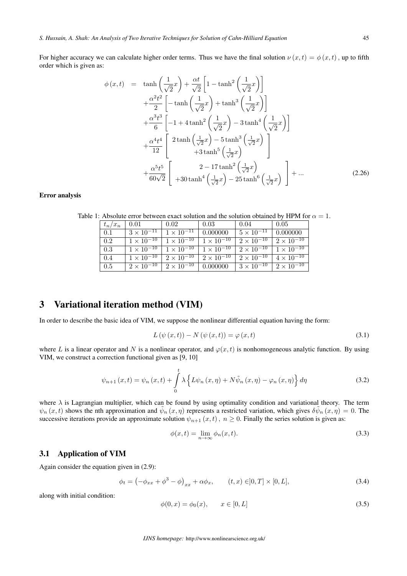For higher accuracy we can calculate higher order terms. Thus we have the final solution  $\nu(x, t) = \phi(x, t)$ , up to fifth order which is given as:

$$
\phi(x,t) = \tanh\left(\frac{1}{\sqrt{2}}x\right) + \frac{\alpha t}{\sqrt{2}} \left[1 - \tanh^2\left(\frac{1}{\sqrt{2}}x\right)\right] \n+ \frac{\alpha^2 t^2}{2} \left[-\tanh\left(\frac{1}{\sqrt{2}}x\right) + \tanh^3\left(\frac{1}{\sqrt{2}}x\right)\right] \n+ \frac{\alpha^3 t^3}{6} \left[-1 + 4 \tanh^2\left(\frac{1}{\sqrt{2}}x\right) - 3 \tanh^4\left(\frac{1}{\sqrt{2}}x\right)\right] \n+ \frac{\alpha^4 t^4}{12} \left[2 \tanh\left(\frac{1}{\sqrt{2}}x\right) - 5 \tanh^3\left(\frac{1}{\sqrt{2}}x\right) + 3 \tanh^5\left(\frac{1}{\sqrt{2}}x\right)\right] \n+ \frac{\alpha^5 t^5}{60\sqrt{2}} \left[2 - \frac{17 \tanh^2\left(\frac{1}{\sqrt{2}}x\right)}{430 \tanh^4\left(\frac{1}{\sqrt{2}}x\right) - 25 \tanh^6\left(\frac{1}{\sqrt{2}}x\right)}\right] + \dots
$$
\n(2.26)

#### Error analysis

Table 1: Absolute error between exact solution and the solution obtained by HPM for  $\alpha = 1$ .

| $t_n/x_n$ | 0.01                | 0.02                                                            | 0.03                | 0.04                                                    | 0.05                                    |
|-----------|---------------------|-----------------------------------------------------------------|---------------------|---------------------------------------------------------|-----------------------------------------|
| 0.1       |                     | $3 \times 10^{-11}$   $1 \times 10^{-11}$                       | 0.000000            | $5 \times 10^{-11}$                                     | 0.000000                                |
| 0.2       |                     | $1 \times 10^{-10}$ $1 \times 10^{-10}$                         | $1 \times 10^{-10}$ | $\boxed{2 \times 10^{-10}}$ $\boxed{2 \times 10^{-10}}$ |                                         |
| 0.3       |                     | $1 \times 10^{-10}$   $1 \times 10^{-10}$   $1 \times 10^{-10}$ |                     |                                                         | $2 \times 10^{-10}$ 1 $\times 10^{-10}$ |
| 0.4       | $1 \times 10^{-10}$ | $2 \times 10^{-10}$   $2 \times 10^{-10}$                       |                     | $2 \times 10^{-10}$                                     | $4 \times 10^{-10}$                     |
| 0.5       | $2 \times 10^{-10}$ | $2 \times 10^{-10}$                                             | 0.000000            | $3 \times 10^{-10}$                                     | $2 \times 10^{-10}$                     |

## 3 Variational iteration method (VIM)

In order to describe the basic idea of VIM, we suppose the nonlinear differential equation having the form:

$$
L(\psi(x,t)) - N(\psi(x,t)) = \varphi(x,t)
$$
\n(3.1)

where L is a linear operator and N is a nonlinear operator, and  $\varphi(x, t)$  is nonhomogeneous analytic function. By using VIM, we construct a correction functional given as [9, 10]

$$
\psi_{n+1}(x,t) = \psi_n(x,t) + \int_0^t \lambda \left\{ L \psi_n(x,\eta) + N \tilde{\psi}_n(x,\eta) - \varphi_n(x,\eta) \right\} d\eta \tag{3.2}
$$

where  $\lambda$  is Lagrangian multiplier, which can be found by using optimality condition and variational theory. The term  $\psi_n(x,t)$  shows the nth approximation and  $\tilde{\psi}_n(x,\eta)$  represents a restricted variation, which gives  $\delta\tilde{\psi}_n(x,\eta) = 0$ . The successive iterations provide an approximate solution  $\psi_{n+1}(x, t)$ ,  $n \ge 0$ . Finally the series solution is given as:

$$
\phi(x,t) = \lim_{n \to \infty} \phi_n(x,t). \tag{3.3}
$$

### 3.1 Application of VIM

Again consider the equation given in (2.9):

$$
\phi_t = \left( -\phi_{xx} + \phi^3 - \phi \right)_{xx} + \alpha \phi_x, \qquad (t, x) \in ]0, T] \times [0, L], \tag{3.4}
$$

along with initial condition:

$$
\phi(0, x) = \phi_0(x), \qquad x \in [0, L] \tag{3.5}
$$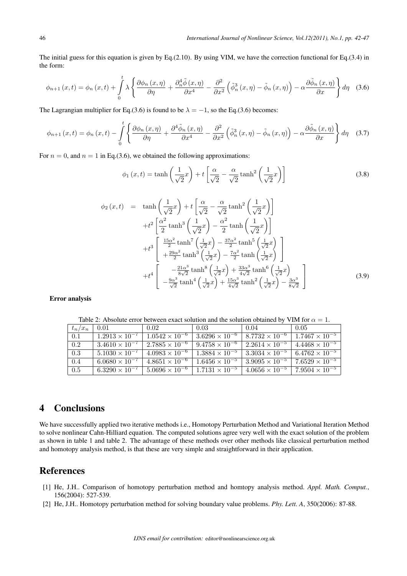The initial guess for this equation is given by Eq.(2.10). By using VIM, we have the correction functional for Eq.(3.4) in the form:

$$
\phi_{n+1}(x,t) = \phi_n(x,t) + \int_0^t \lambda \left\{ \frac{\partial \phi_n(x,\eta)}{\partial \eta} + \frac{\partial_n^4 \tilde{\phi}(x,\eta)}{\partial x^4} - \frac{\partial^2}{\partial x^2} \left( \tilde{\phi}_n^3(x,\eta) - \tilde{\phi}_n(x,\eta) \right) - \alpha \frac{\partial \tilde{\phi}_n(x,\eta)}{\partial x} \right\} d\eta \quad (3.6)
$$

The Lagrangian multiplier for Eq.(3.6) is found to be  $\lambda = -1$ , so the Eq.(3.6) becomes:

$$
\phi_{n+1}(x,t) = \phi_n(x,t) - \int_0^t \left\{ \frac{\partial \phi_n(x,\eta)}{\partial \eta} + \frac{\partial^4 \tilde{\phi}_n(x,\eta)}{\partial x^4} - \frac{\partial^2}{\partial x^2} \left( \tilde{\phi}_n^3(x,\eta) - \tilde{\phi}_n(x,\eta) \right) - \alpha \frac{\partial \tilde{\phi}_n(x,\eta)}{\partial x} \right\} d\eta \quad (3.7)
$$

For  $n = 0$ , and  $n = 1$  in Eq.(3.6), we obtained the following approximations:

$$
\phi_1(x,t) = \tanh\left(\frac{1}{\sqrt{2}}x\right) + t\left[\frac{\alpha}{\sqrt{2}} - \frac{\alpha}{\sqrt{2}}\tanh^2\left(\frac{1}{\sqrt{2}}x\right)\right]
$$
(3.8)

$$
\phi_2(x,t) = \tanh\left(\frac{1}{\sqrt{2}}x\right) + t\left[\frac{\alpha}{\sqrt{2}} - \frac{\alpha}{\sqrt{2}}\tanh^2\left(\frac{1}{\sqrt{2}}x\right)\right]
$$

$$
+ t^2 \left[\frac{\alpha^2}{2}\tanh^3\left(\frac{1}{\sqrt{2}}x\right) - \frac{\alpha^2}{2}\tanh\left(\frac{1}{\sqrt{2}}x\right)\right]
$$

$$
+ t^3 \left[\frac{\frac{15\alpha^2}{2}\tanh^7\left(\frac{1}{\sqrt{2}}x\right) - \frac{37\alpha^2}{2}\tanh^5\left(\frac{1}{\sqrt{2}}x\right)}{+\frac{29\alpha^2}{2}\tanh^3\left(\frac{1}{\sqrt{2}}x\right) - \frac{7\alpha^2}{2}\tanh\left(\frac{1}{\sqrt{2}}x\right)}\right]
$$

$$
+ t^4 \left[\frac{-\frac{21\alpha^3}{8\sqrt{2}}\tanh^8\left(\frac{1}{\sqrt{2}}x\right) + \frac{33\alpha^3}{4\sqrt{2}}\tanh^6\left(\frac{1}{\sqrt{2}}x\right)}{-\frac{9\alpha^3}{\sqrt{2}}\tanh^4\left(\frac{1}{\sqrt{2}}x\right) + \frac{15\alpha^3}{4\sqrt{2}}\tanh^2\left(\frac{1}{\sqrt{2}}x\right) - \frac{3\alpha^3}{8\sqrt{2}}}\right]
$$
(3.9)

Error analysis

Table 2: Absolute error between exact solution and the solution obtained by VIM for  $\alpha = 1$ .

| $t_n/x_n$ | 0.01                    | 0.02                      | 0.03                    | 0.04                             | 0.05                                              |
|-----------|-------------------------|---------------------------|-------------------------|----------------------------------|---------------------------------------------------|
| 0.1       | $1.2913 \times 10^{-7}$ | $1.0542 \times 10^{-6}$   | $3.6296 \times 10^{-6}$ | $8.7732 \times 10^{-6}$          | $1.7467 \times 10^{-5}$                           |
| 0.2       | $3.4610 \times 10^{-7}$ | $1.27885 \times 10^{-6}$  | $9.4758 \times 10^{-6}$ | 2.2614 $\times$ 10 <sup>-5</sup> | $4.4468 \times 10^{-5}$                           |
| 0.3       | $5.1030 \times 10^{-7}$ | $4.0983 \times 10^{-6}$   | $1.3884 \times 10^{-5}$ |                                  | $3.3034 \times 10^{-5}$   $6.4762 \times 10^{-5}$ |
| 0.4       | $6.0680 \times 10^{-7}$ | $4.8651 \times 10^{-6}$   | $1.6456 \times 10^{-5}$ | $3.9095 \times 10^{-5}$          | $17.6529 \times 10^{-5}$                          |
| 0.5       | $6.3290 \times 10^{-7}$ | $1.5.0696 \times 10^{-6}$ | $1.7131 \times 10^{-5}$ | $4.0656 \times 10^{-5}$          | $7.9504 \times 10^{-5}$                           |

# 4 Conclusions

We have successfully applied two iterative methods i.e., Homotopy Perturbation Method and Variational Iteration Method to solve nonlinear Cahn-Hilliard equation. The computed solutions agree very well with the exact solution of the problem as shown in table 1 and table 2. The advantage of these methods over other methods like classical perturbation method and homotopy analysis method, is that these are very simple and straightforward in their application.

## **References**

- [1] He, J.H.. Comparison of homotopy perturbation method and homtopy analysis method. *Appl. Math. Comput.*, 156(2004): 527-539.
- [2] He, J.H.. Homotopy perturbation method for solving boundary value problems. *Phy. Lett. A*, 350(2006): 87-88.